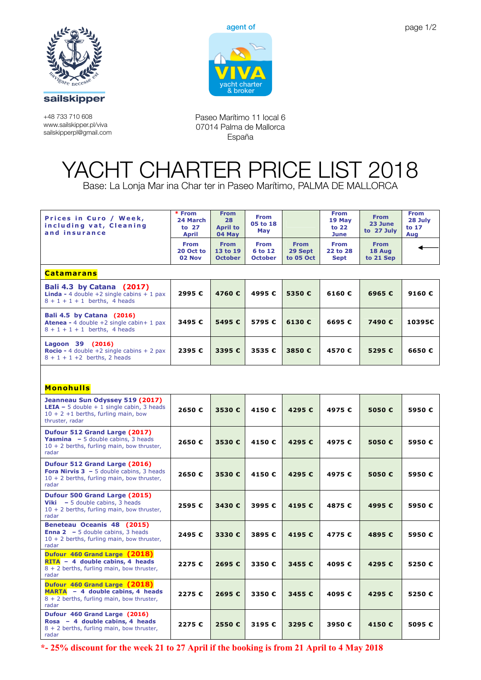

**Teléfono: 0034 971 73 80 19**

**Fax: 0034 971 73 88 46** +48 733 710 608 www.sailskipper.pl/viva sailskipperpl@gmail.com



Paseo Marítimo 11 local 6 07014 Palma de Mallorca España

## **YACHT CHARTER PRICE LIST 2018**  YACHT CHARTER PRICE LIST 2018 Base: La Lonia Mar ina Char ter in Paseo Marítimo, PALMA DE MALLORCA

Base: La Lonja Mar ina Char ter in Paseo Marítimo, PALMA DE MALLORCA

| Prices in €uro / Week,<br>including vat, Cleaning<br>and insurance                                                                        | * From<br>24 March<br>to 27<br><b>April</b> | <b>From</b><br>28<br><b>April to</b><br>04 May | <b>From</b><br>05 to 18<br>May           |                                     | <b>From</b><br>19 May<br>to $22$<br>June | <b>From</b><br>23 June<br>to 27 July | <b>From</b><br>28 July<br>to 17<br>Aug |  |  |  |  |  |
|-------------------------------------------------------------------------------------------------------------------------------------------|---------------------------------------------|------------------------------------------------|------------------------------------------|-------------------------------------|------------------------------------------|--------------------------------------|----------------------------------------|--|--|--|--|--|
|                                                                                                                                           | <b>From</b><br>20 Oct to<br>02 Nov          | <b>From</b><br>13 to 19<br><b>October</b>      | <b>From</b><br>6 to 12<br><b>October</b> | <b>From</b><br>29 Sept<br>to 05 Oct | <b>From</b><br>22 to 28<br><b>Sept</b>   | <b>From</b><br>18 Aug<br>to 21 Sep   |                                        |  |  |  |  |  |
| <b>Catamarans</b>                                                                                                                         |                                             |                                                |                                          |                                     |                                          |                                      |                                        |  |  |  |  |  |
| Bali 4.3 by Catana (2017)<br><b>Linda -</b> 4 double $+2$ single cabins $+1$ pax<br>$8 + 1 + 1 + 1$ berths, 4 heads                       | 2995€                                       | 4760€                                          | 4995€                                    | 5350€                               | 6160€                                    | 6965€                                | 9160€                                  |  |  |  |  |  |
| Bali 4.5 by Catana (2016)<br><b>Atenea -</b> 4 double $+2$ single cabin + 1 pax<br>$8 + 1 + 1 + 1$ berths, 4 heads                        | 3495€                                       | 5495€                                          | 5795€                                    | 6130€                               | 6695€                                    | 7490€                                | 10395€                                 |  |  |  |  |  |
| Lagoon 39 (2016)<br><b>Rocio</b> - 4 double +2 single cabins + 2 pax<br>$8 + 1 + 1 + 2$ berths, 2 heads                                   | 2395€                                       | 3395€                                          | 3535€                                    | 3850€                               | 4570€                                    | 5295€                                | 6650€                                  |  |  |  |  |  |
|                                                                                                                                           |                                             |                                                |                                          |                                     |                                          |                                      |                                        |  |  |  |  |  |
| <b>Monohulls</b><br>Jeanneau Sun Odyssey 519 (2017)                                                                                       |                                             |                                                |                                          |                                     |                                          |                                      |                                        |  |  |  |  |  |
| <b>LEIA</b> $-$ 5 double $+$ 1 single cabin, 3 heads<br>$10 + 2 + 1$ berths, furling main, bow<br>thruster, radar                         | 2650€                                       | 3530€                                          | 4150€                                    | 4295€                               | 4975€                                    | 5050€                                | 5950€                                  |  |  |  |  |  |
| Dufour 512 Grand Large (2017)<br><b>Yasmina</b> - 5 double cabins, 3 heads<br>$10 + 2$ berths, furling main, bow thruster,<br>radar       | 2650€                                       | 3530€                                          | 4150€                                    | 4295€                               | 4975€                                    | 5050€                                | 5950€                                  |  |  |  |  |  |
| Dufour 512 Grand Large (2016)<br><b>Fora Nirvis 3 - 5 double cabins, 3 heads</b><br>$10 + 2$ berths, furling main, bow thruster,<br>radar | 2650€                                       | 3530€                                          | 4150€                                    | 4295€                               | 4975€                                    | 5050€                                | 5950€                                  |  |  |  |  |  |
| Dufour 500 Grand Large (2015)<br>- 5 double cabins, 3 heads<br>Viki<br>$10 + 2$ berths, furling main, bow thruster,<br>radar              | 2595€                                       | 3430 €                                         | 3995€                                    | 4195€                               | 4875€                                    | 4995€                                | 5950€                                  |  |  |  |  |  |
| Beneteau Oceanis 48 (2015)<br><b>Enna 2</b> $-5$ double cabins, 3 heads<br>$10 + 2$ berths, furling main, bow thruster,<br>radar          | 2495€                                       | 3330 €                                         | 3895€                                    | 4195€                               | 4775€                                    | 4895€                                | 5950€                                  |  |  |  |  |  |
| Dufour 460 Grand Large (2018)<br>$RITA - 4$ double cabins, 4 heads<br>$8 + 2$ berths, furling main, bow thruster,<br>radar                | 2275€                                       | 2695€                                          | 3350€                                    | 3455€                               | 4095€                                    | 4295€                                | 5250€                                  |  |  |  |  |  |
| Dufour 460 Grand Large (2018)<br>MARTA - 4 double cabins, 4 heads<br>8 + 2 berths, furling main, bow thruster,<br>radar                   | 2275€                                       | 2695€                                          | 3350€                                    | 3455€                               | 4095€                                    | 4295€                                | 5250€                                  |  |  |  |  |  |
| Dufour 460 Grand Large (2016)<br>Rosa $-4$ double cabins, 4 heads<br>$8 + 2$ berths, furling main, bow thruster,<br>radar                 | 2275€                                       | 2550€                                          | 3195€                                    | 3295€                               | 3950€                                    | 4150€                                | 5095€                                  |  |  |  |  |  |

**\*- 25% discount for the week 21 to 27 April if the booking is from 21 April to 4 May 2018**